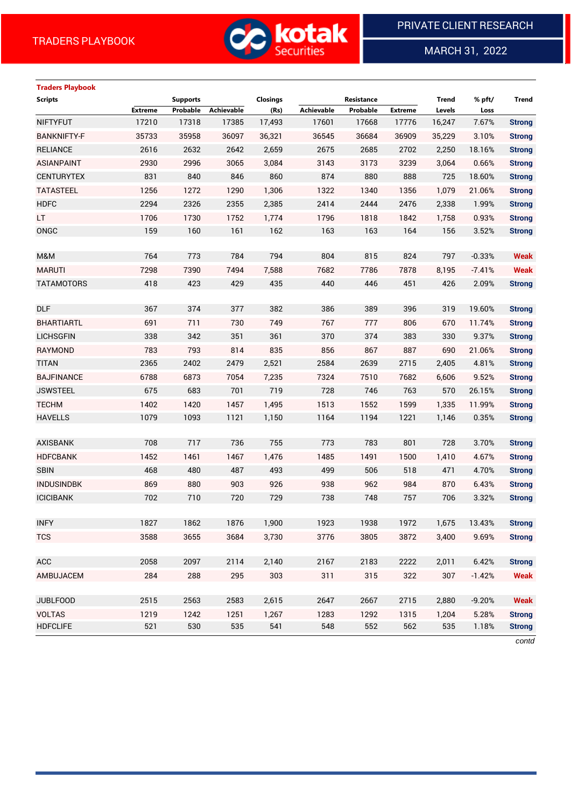

MARCH 31, 2022

 $\overline{a}$ 

# **Traders Playbook**

| <b>Scripts</b>     |                | <b>Supports</b> |            | <b>Closings</b> |            | Resistance |                | <b>Trend</b> | % pft/   | <b>Trend</b>  |
|--------------------|----------------|-----------------|------------|-----------------|------------|------------|----------------|--------------|----------|---------------|
|                    | <b>Extreme</b> | Probable        | Achievable | (Rs)            | Achievable | Probable   | <b>Extreme</b> | Levels       | Loss     |               |
| <b>NIFTYFUT</b>    | 17210          | 17318           | 17385      | 17,493          | 17601      | 17668      | 17776          | 16,247       | 7.67%    | <b>Strong</b> |
| <b>BANKNIFTY-F</b> | 35733          | 35958           | 36097      | 36,321          | 36545      | 36684      | 36909          | 35,229       | 3.10%    | <b>Strong</b> |
| <b>RELIANCE</b>    | 2616           | 2632            | 2642       | 2,659           | 2675       | 2685       | 2702           | 2,250        | 18.16%   | <b>Strong</b> |
| <b>ASIANPAINT</b>  | 2930           | 2996            | 3065       | 3,084           | 3143       | 3173       | 3239           | 3,064        | 0.66%    | <b>Strong</b> |
| <b>CENTURYTEX</b>  | 831            | 840             | 846        | 860             | 874        | 880        | 888            | 725          | 18.60%   | <b>Strong</b> |
| <b>TATASTEEL</b>   | 1256           | 1272            | 1290       | 1,306           | 1322       | 1340       | 1356           | 1,079        | 21.06%   | <b>Strong</b> |
| <b>HDFC</b>        | 2294           | 2326            | 2355       | 2,385           | 2414       | 2444       | 2476           | 2,338        | 1.99%    | <b>Strong</b> |
| LT.                | 1706           | 1730            | 1752       | 1,774           | 1796       | 1818       | 1842           | 1,758        | 0.93%    | <b>Strong</b> |
| ONGC               | 159            | 160             | 161        | 162             | 163        | 163        | 164            | 156          | 3.52%    | <b>Strong</b> |
|                    |                |                 |            |                 |            |            |                |              |          |               |
| M&M                | 764            | 773             | 784        | 794             | 804        | 815        | 824            | 797          | $-0.33%$ | <b>Weak</b>   |
| <b>MARUTI</b>      | 7298           | 7390            | 7494       | 7,588           | 7682       | 7786       | 7878           | 8,195        | $-7.41%$ | <b>Weak</b>   |
| <b>TATAMOTORS</b>  | 418            | 423             | 429        | 435             | 440        | 446        | 451            | 426          | 2.09%    | <b>Strong</b> |
|                    |                |                 |            |                 |            |            |                |              |          |               |
| <b>DLF</b>         | 367            | 374             | 377        | 382             | 386        | 389        | 396            | 319          | 19.60%   | <b>Strong</b> |
| <b>BHARTIARTL</b>  | 691            | 711             | 730        | 749             | 767        | 777        | 806            | 670          | 11.74%   | <b>Strong</b> |
| <b>LICHSGFIN</b>   | 338            | 342             | 351        | 361             | 370        | 374        | 383            | 330          | 9.37%    | <b>Strong</b> |
| <b>RAYMOND</b>     | 783            | 793             | 814        | 835             | 856        | 867        | 887            | 690          | 21.06%   | <b>Strong</b> |
| <b>TITAN</b>       | 2365           | 2402            | 2479       | 2,521           | 2584       | 2639       | 2715           | 2,405        | 4.81%    | <b>Strong</b> |
| <b>BAJFINANCE</b>  | 6788           | 6873            | 7054       | 7,235           | 7324       | 7510       | 7682           | 6,606        | 9.52%    | <b>Strong</b> |
| <b>JSWSTEEL</b>    | 675            | 683             | 701        | 719             | 728        | 746        | 763            | 570          | 26.15%   | <b>Strong</b> |
| <b>TECHM</b>       | 1402           | 1420            | 1457       | 1,495           | 1513       | 1552       | 1599           | 1,335        | 11.99%   | <b>Strong</b> |
| <b>HAVELLS</b>     | 1079           | 1093            | 1121       | 1,150           | 1164       | 1194       | 1221           | 1,146        | 0.35%    | <b>Strong</b> |
|                    |                |                 |            |                 |            |            |                |              |          |               |
| <b>AXISBANK</b>    | 708            | 717             | 736        | 755             | 773        | 783        | 801            | 728          | 3.70%    | <b>Strong</b> |
| <b>HDFCBANK</b>    | 1452           | 1461            | 1467       | 1,476           | 1485       | 1491       | 1500           | 1,410        | 4.67%    | <b>Strong</b> |
| <b>SBIN</b>        | 468            | 480             | 487        | 493             | 499        | 506        | 518            | 471          | 4.70%    | <b>Strong</b> |
| <b>INDUSINDBK</b>  | 869            | 880             | 903        | 926             | 938        | 962        | 984            | 870          | 6.43%    | <b>Strong</b> |
| <b>ICICIBANK</b>   | 702            | 710             | 720        | 729             | 738        | 748        | 757            | 706          | 3.32%    | <b>Strong</b> |
|                    |                |                 |            |                 |            |            |                |              |          |               |
| <b>INFY</b>        | 1827           | 1862            | 1876       | 1,900           | 1923       | 1938       | 1972           | 1,675        | 13.43%   | <b>Strong</b> |
| <b>TCS</b>         | 3588           | 3655            | 3684       | 3,730           | 3776       | 3805       | 3872           | 3,400        | 9.69%    | <b>Strong</b> |
|                    |                |                 |            |                 |            |            |                |              |          |               |
| ACC                | 2058           | 2097            | 2114       | 2,140           | 2167       | 2183       | 2222           | 2,011        | 6.42%    | <b>Strong</b> |
| AMBUJACEM          | 284            | 288             | 295        | 303             | 311        | 315        | 322            | 307          | $-1.42%$ | <b>Weak</b>   |
|                    |                |                 |            |                 |            |            |                |              |          |               |
| <b>JUBLFOOD</b>    | 2515           | 2563            | 2583       | 2,615           | 2647       | 2667       | 2715           | 2,880        | $-9.20%$ | <b>Weak</b>   |
| <b>VOLTAS</b>      | 1219           | 1242            | 1251       | 1,267           | 1283       | 1292       | 1315           | 1,204        | 5.28%    | <b>Strong</b> |
| <b>HDFCLIFE</b>    | 521            | 530             | 535        | 541             | 548        | 552        | 562            | 535          | 1.18%    | <b>Strong</b> |
|                    |                |                 |            |                 |            |            |                |              |          |               |

*contd*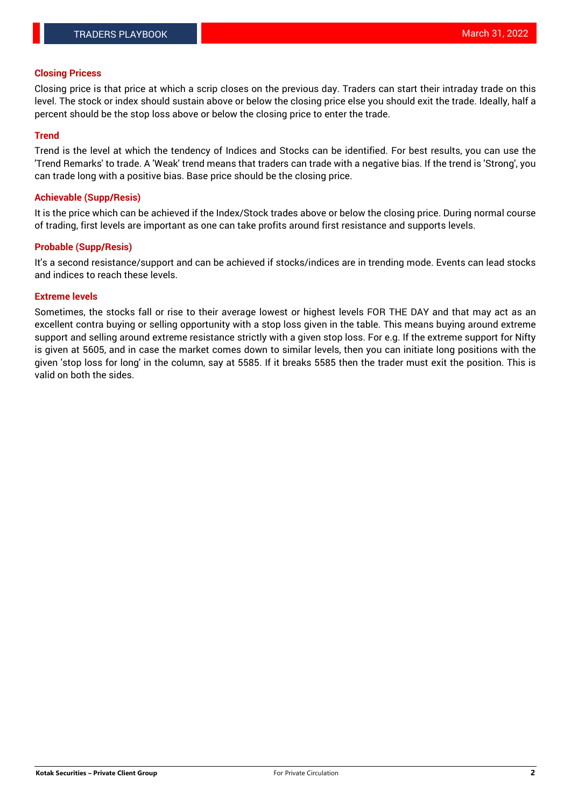## **Closing Pricess**

Closing price is that price at which a scrip closes on the previous day. Traders can start their intraday trade on this level. The stock or index should sustain above or below the closing price else you should exit the trade. Ideally, half a percent should be the stop loss above or below the closing price to enter the trade.

## **Trend**

Trend is the level at which the tendency of Indices and Stocks can be identified. For best results, you can use the 'Trend Remarks' to trade. A 'Weak' trend means that traders can trade with a negative bias. If the trend is 'Strong', you can trade long with a positive bias. Base price should be the closing price.

#### **Achievable (Supp/Resis)**

It is the price which can be achieved if the Index/Stock trades above or below the closing price. During normal course of trading, first levels are important as one can take profits around first resistance and supports levels.

## **Probable (Supp/Resis)**

It's a second resistance/support and can be achieved if stocks/indices are in trending mode. Events can lead stocks and indices to reach these levels.

#### **Extreme levels**

Sometimes, the stocks fall or rise to their average lowest or highest levels FOR THE DAY and that may act as an excellent contra buying or selling opportunity with a stop loss given in the table. This means buying around extreme support and selling around extreme resistance strictly with a given stop loss. For e.g. If the extreme support for Nifty is given at 5605, and in case the market comes down to similar levels, then you can initiate long positions with the given 'stop loss for long' in the column, say at 5585. If it breaks 5585 then the trader must exit the position. This is valid on both the sides.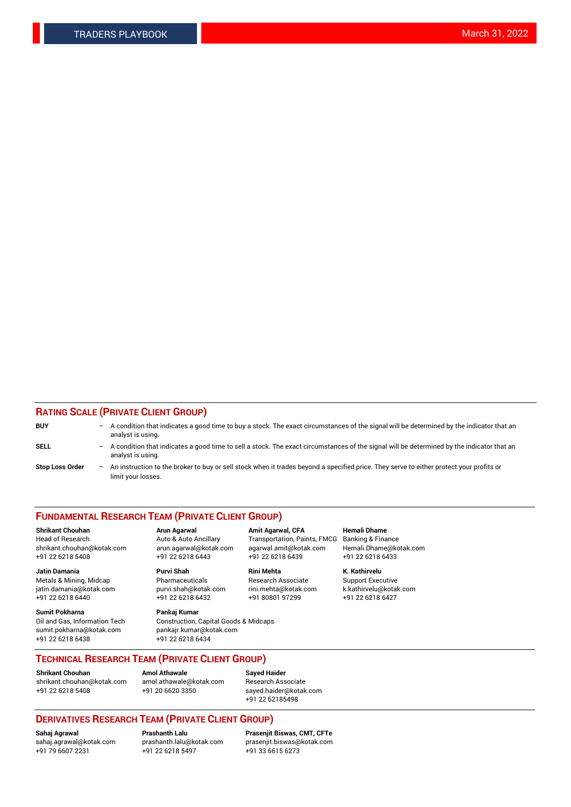## **RATING SCALE (PRIVATE CLIENT GROUP)**

| <b>BUY</b>             | -   | A condition that indicates a good time to buy a stock. The exact circumstances of the signal will be determined by the indicator that an<br>analyst is using.  |
|------------------------|-----|----------------------------------------------------------------------------------------------------------------------------------------------------------------|
| <b>SELL</b>            | -   | A condition that indicates a good time to sell a stock. The exact circumstances of the signal will be determined by the indicator that an<br>analyst is using. |
| <b>Stop Loss Order</b> | $-$ | An instruction to the broker to buy or sell stock when it trades beyond a specified price. They serve to either protect your profits or<br>limit your losses.  |

#### **FUNDAMENTAL RESEARCH TEAM (PRIVATE CLIENT GROUP)**

**Shrikant Chouhan Arun Agarwal Amit Agarwal, CFA Hemali Dhame** Head of Research Auto & Auto Ancillary Transportation, Paints, FMCG Banking & Finance shrikant.chouhan@kotak.com arun.agarwal@kotak.com agarwal.amit@kotak.com Hemali.Dhame@kotak.com

**Jatin Damania Purvi Shah Rini Mehta K. Kathirvelu** Metals & Mining, Midcap **Pharmaceuticals** Research Associate Support Executive jatin.damania@kotak.com [purvi.shah@kotak.com](mailto:purvi.shah@kotak.com) rini.mehta@kotak.com [k.kathirvelu@kotak.com](mailto:k.kathirvelu@kotak.com)  $+91$  22 6218 6440  $+91$  22 6218 6432

**Sumit Pokharna Pankaj Kumar** sumit.pokharna@kotak.com pankajr.kumar@kotak.com +91 22 6218 6438 +91 22 6218 6434

Oil and Gas, Information Tech Construction, Capital Goods & Midcaps

+91 22 6218 5408 +91 22 6218 6443 +91 22 6218 6439 +91 22 6218 6433

**TECHNICAL RESEARCH TEAM (PRIVATE CLIENT GROUP)**

[shrikant.chouhan@kotak.com](mailto:shrikant.chouhan@kotak.com) [amol.athawale@kotak.com](mailto:amol.athawale@kotak.com) Research Associate +91 22 6218 5408 +91 20 6620 3350 [sayed.haider@kotak.com](mailto:sayed.haider@kotak.com)

**Shrikant Chouhan Amol Athawale Sayed Haider**

+91 22 62185498

# **DERIVATIVES RESEARCH TEAM (PRIVATE CLIENT GROUP)**

 $+91$  22 6218 5497

**Sahaj Agrawal Prashanth Lalu Prasenjit Biswas, CMT, CFTe** [sahaj.agrawal@kotak.com](mailto:sahaj.agrawal@kotak.com) [prashanth.lalu@kotak.com](mailto:prashanth.lalu@kotak.com) [prasenjit.biswas@kotak.com](mailto:prasenjit.biswas@kotak.com)